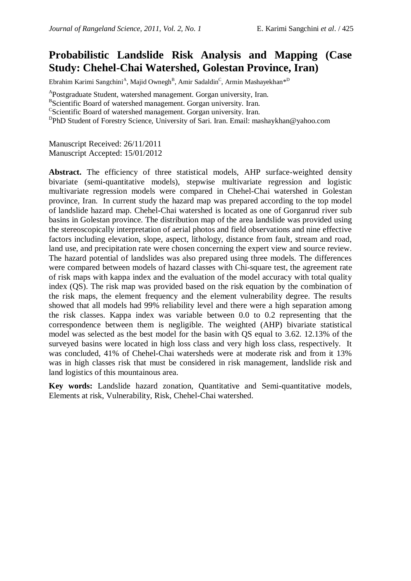# **Probabilistic Landslide Risk Analysis and Mapping (Case Study: Chehel-Chai Watershed, Golestan Province, Iran)**

Ebrahim Karimi Sangchini<sup>A</sup>, Majid Ownegh<sup>B</sup>, Amir Sadaldin<sup>C</sup>, Armin Mashayekhan<sup>\*D</sup>

<sup>A</sup>Postgraduate Student, watershed management. Gorgan university, Iran.

<sup>B</sup>Scientific Board of watershed management. Gorgan university. Iran.

CScientific Board of watershed management. Gorgan university. Iran.

<sup>D</sup>PhD Student of Forestry Science, University of Sari. Iran. Email: mashaykhan@yahoo.com

Manuscript Received: 26/11/2011 Manuscript Accepted: 15/01/2012

**Abstract.** The efficiency of three statistical models, AHP surface-weighted density bivariate (semi-quantitative models), stepwise multivariate regression and logistic multivariate regression models were compared in Chehel-Chai watershed in Golestan province, Iran. In current study the hazard map was prepared according to the top model of landslide hazard map. Chehel-Chai watershed is located as one of Gorganrud river sub basins in Golestan province. The distribution map of the area landslide was provided using the stereoscopically interpretation of aerial photos and field observations and nine effective factors including elevation, slope, aspect, lithology, distance from fault, stream and road, land use, and precipitation rate were chosen concerning the expert view and source review. The hazard potential of landslides was also prepared using three models. The differences were compared between models of hazard classes with Chi-square test, the agreement rate of risk maps with kappa index and the evaluation of the model accuracy with total quality index (QS). The risk map was provided based on the risk equation by the combination of the risk maps, the element frequency and the element vulnerability degree. The results showed that all models had 99% reliability level and there were a high separation among the risk classes. Kappa index was variable between 0.0 to 0.2 representing that the correspondence between them is negligible. The weighted (AHP) bivariate statistical model was selected as the best model for the basin with QS equal to 3.62. 12.13% of the surveyed basins were located in high loss class and very high loss class, respectively. It was concluded, 41% of Chehel-Chai watersheds were at moderate risk and from it 13% was in high classes risk that must be considered in risk management, landslide risk and land logistics of this mountainous area.

**Key words:** Landslide hazard zonation, Quantitative and Semi-quantitative models, Elements at risk, Vulnerability, Risk, Chehel-Chai watershed.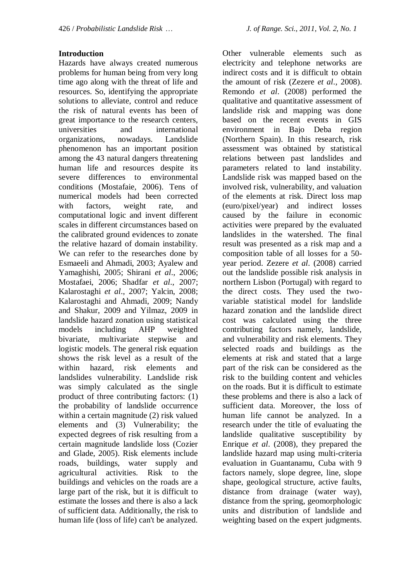# **Introduction**

Hazards have always created numerous problems for human being from very long time ago along with the threat of life and resources. So, identifying the appropriate solutions to alleviate, control and reduce the risk of natural events has been of great importance to the research centers, universities and international organizations, nowadays. Landslide phenomenon has an important position among the 43 natural dangers threatening human life and resources despite its severe differences to environmental conditions (Mostafaie, 2006). Tens of numerical models had been corrected with factors, weight rate, and computational logic and invent different scales in different circumstances based on the calibrated ground evidences to zonate the relative hazard of domain instability. We can refer to the researches done by Esmaeeli and Ahmadi, 2003; Ayalew and Yamaghishi, 2005; Shirani *et al*., 2006; Mostafaei, 2006; Shadfar *et al*., 2007; Kalarostaghi *et al*., 2007; Yalcin, 2008; Kalarostaghi and Ahmadi, 2009; Nandy and Shakur, 2009 and Yilmaz, 2009 in landslide hazard zonation using statistical models including AHP weighted bivariate, multivariate stepwise and logistic models. The general risk equation shows the risk level as a result of the within hazard, risk elements and landslides vulnerability. Landslide risk was simply calculated as the single product of three contributing factors: (1) the probability of landslide occurrence within a certain magnitude (2) risk valued elements and (3) Vulnerability; the expected degrees of risk resulting from a certain magnitude landslide loss (Cozier and Glade, 2005). Risk elements include roads, buildings, water supply and agricultural activities. Risk to the buildings and vehicles on the roads are a large part of the risk, but it is difficult to estimate the losses and there is also a lack of sufficient data. Additionally, the risk to human life (loss of life) can't be analyzed.

Other vulnerable elements such as electricity and telephone networks are indirect costs and it is difficult to obtain the amount of risk (Zezere *et al*., 2008). Remondo *et al*. (2008) performed the qualitative and quantitative assessment of landslide risk and mapping was done based on the recent events in GIS environment in Bajo Deba region (Northern Spain). In this research, risk assessment was obtained by statistical relations between past landslides and parameters related to land instability. Landslide risk was mapped based on the involved risk, vulnerability, and valuation of the elements at risk. Direct loss map (euro/pixel/year) and indirect losses caused by the failure in economic activities were prepared by the evaluated landslides in the watershed. The final result was presented as a risk map and a composition table of all losses for a 50 year period. Zezere *et al*. (2008) carried out the landslide possible risk analysis in northern Lisbon (Portugal) with regard to the direct costs. They used the twovariable statistical model for landslide hazard zonation and the landslide direct cost was calculated using the three contributing factors namely, landslide, and vulnerability and risk elements. They selected roads and buildings as the elements at risk and stated that a large part of the risk can be considered as the risk to the building content and vehicles on the roads. But it is difficult to estimate these problems and there is also a lack of sufficient data. Moreover, the loss of human life cannot be analyzed. In a research under the title of evaluating the landslide qualitative susceptibility by Enrique *et al*. (2008), they prepared the landslide hazard map using multi-criteria evaluation in Guantanamu, Cuba with 9 factors namely, slope degree, line, slope shape, geological structure, active faults, distance from drainage (water way), distance from the spring, geomorphologic units and distribution of landslide and weighting based on the expert judgments.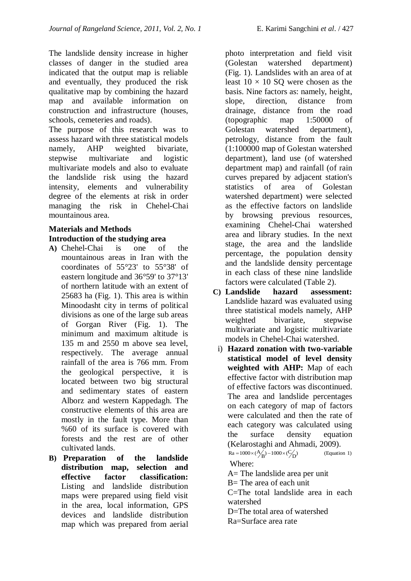The landslide density increase in higher classes of danger in the studied area indicated that the output map is reliable and eventually, they produced the risk qualitative map by combining the hazard map and available information on construction and infrastructure (houses, schools, cemeteries and roads).

The purpose of this research was to assess hazard with three statistical models namely, AHP weighted bivariate, stepwise multivariate and logistic multivariate models and also to evaluate the landslide risk using the hazard intensity, elements and vulnerability degree of the elements at risk in order managing the risk in Chehel-Chai mountainous area.

# **Materials and Methods Introduction of the studying area**

- **A)** Chehel-Chai is one of the mountainous areas in Iran with the coordinates of 55°23' to 55°38' of eastern longitude and 36°59' to 37°13' of northern latitude with an extent of 25683 ha (Fig. 1). This area is within Minoodasht city in terms of political divisions as one of the large sub areas of Gorgan River (Fig. 1). The minimum and maximum altitude is 135 m and 2550 m above sea level, respectively. The average annual rainfall of the area is 766 mm. From the geological perspective, it is located between two big structural and sedimentary states of eastern Alborz and western Kappedagh. The constructive elements of this area are mostly in the fault type. More than %60 of its surface is covered with forests and the rest are of other cultivated lands.
- **B) Preparation of the landslide distribution map, selection and effective factor classification:**  Listing and landslide distribution maps were prepared using field visit in the area, local information, GPS devices and landslide distribution map which was prepared from aerial

photo interpretation and field visit (Golestan watershed department) (Fig. 1). Landslides with an area of at least  $10 \times 10$  SQ were chosen as the basis. Nine factors as: namely, height, slope, direction, distance from drainage, distance from the road (topographic map 1:50000 of Golestan watershed department), petrology, distance from the fault (1:100000 map of Golestan watershed department), land use (of watershed department map) and rainfall (of rain curves prepared by adjacent station's statistics of area of Golestan watershed department) were selected as the effective factors on landslide by browsing previous resources, examining Chehel-Chai watershed area and library studies. In the next stage, the area and the landslide percentage, the population density and the landslide density percentage in each class of these nine landslide factors were calculated (Table 2).

- **C) Landslide hazard assessment:**  Landslide hazard was evaluated using three statistical models namely, AHP weighted bivariate, stepwise multivariate and logistic multivariate models in Chehel-Chai watershed.
- i) **Hazard zonation with two-variable statistical model of level density weighted with AHP:** Map of each effective factor with distribution map of effective factors was discontinued. The area and landslide percentages on each category of map of factors were calculated and then the rate of each category was calculated using the surface density equation (Kelarostaghi and Ahmadi, 2009).  $(Equation 1)$  $Ra = 1000 \times (\frac{A}{B}) - 1000 \times (\frac{C}{1})$

Where:

A= The landslide area per unit

B= The area of each unit

C=The total landslide area in each watershed

D=The total area of watershed Ra=Surface area rate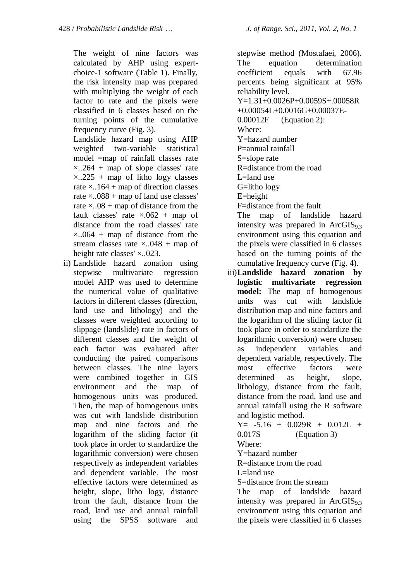The weight of nine factors was calculated by AHP using expertchoice-1 software (Table 1). Finally, the risk intensity map was prepared with multiplying the weight of each factor to rate and the pixels were classified in 6 classes based on the turning points of the cumulative frequency curve (Fig. 3).

Landslide hazard map using AHP weighted two-variable statistical model =map of rainfall classes rate  $\times$ ..264 + map of slope classes' rate  $\times$ ..225 + map of litho logy classes rate  $\times$ ..164 + map of direction classes rate  $\times$ ..088 + map of land use classes' rate  $\times$ ..08 + map of distance from the fault classes' rate  $\times.062$  + map of distance from the road classes' rate  $\times$ ..064 + map of distance from the stream classes rate  $\times$ ..048 + map of height rate classes'  $\times$ ..023.

ii) Landslide hazard zonation using stepwise multivariate regression model AHP was used to determine the numerical value of qualitative factors in different classes (direction, land use and lithology) and the classes were weighted according to slippage (landslide) rate in factors of different classes and the weight of each factor was evaluated after conducting the paired comparisons between classes. The nine layers were combined together in GIS environment and the map of homogenous units was produced. Then, the map of homogenous units was cut with landslide distribution map and nine factors and the logarithm of the sliding factor (it took place in order to standardize the logarithmic conversion) were chosen respectively as independent variables and dependent variable. The most effective factors were determined as height, slope, litho logy, distance from the fault, distance from the road, land use and annual rainfall using the SPSS software and

stepwise method (Mostafaei, 2006). The equation determination coefficient equals with 67.96 percents being significant at 95% reliability level. Y=1.31+0.0026P+0.0059S+.00058R +0.00054L+0.0016G+0.00037E-0.00012F (Equation 2): Where: Y=hazard number P=annual rainfall S=slope rate R=distance from the road L=land use G=litho logy E=height F=distance from the fault

The map of landslide hazard intensity was prepared in  $ArcGIS<sub>93</sub>$ environment using this equation and the pixels were classified in 6 classes based on the turning points of the cumulative frequency curve (Fig. 4).

iii)**Landslide hazard zonation by logistic multivariate regression model:** The map of homogenous units was cut with landslide distribution map and nine factors and the logarithm of the sliding factor (it took place in order to standardize the logarithmic conversion) were chosen as independent variables and dependent variable, respectively. The most effective factors were determined as height, slope, lithology, distance from the fault, distance from the road, land use and annual rainfall using the R software and logistic method.

$$
Y = -5.16 + 0.029R + 0.012L + 0.017S
$$
 (Equation 3)  
Where:

Y=hazard number

R=distance from the road

 $L =$ land use

S=distance from the stream

The map of landslide hazard intensity was prepared in  $ArcGIS<sub>93</sub>$ environment using this equation and the pixels were classified in 6 classes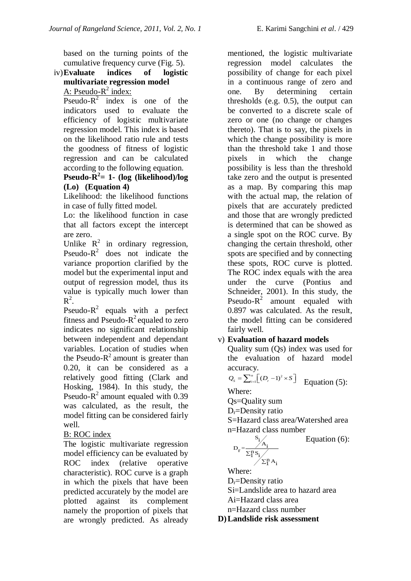based on the turning points of the cumulative frequency curve (Fig. 5).

#### iv)**Evaluate indices of logistic multivariate regression model** A: Pseudo- $R^2$  index:

Pseudo- $R^2$  index is one of the indicators used to evaluate the efficiency of logistic multivariate regression model. This index is based on the likelihood ratio rule and tests the goodness of fitness of logistic regression and can be calculated according to the following equation.

# **Pseudo-R 2 = 1- (log (likelihood)/log (Lo) (Equation 4)**

Likelihood: the likelihood functions in case of fully fitted model.

Lo: the likelihood function in case that all factors except the intercept are zero.

Unlike  $R^2$  in ordinary regression, Pseudo- $R^2$  does not indicate the variance proportion clarified by the model but the experimental input and output of regression model, thus its value is typically much lower than  $R^2$ .

Pseudo- $R^2$  equals with a perfect fitness and Pseudo- $R^2$  equaled to zero indicates no significant relationship between independent and dependant variables. Location of studies when the Pseudo- $R^2$  amount is greater than 0.20, it can be considered as a relatively good fitting (Clark and Hosking, 1984). In this study, the Pseudo- $R^2$  amount equaled with 0.39 was calculated, as the result, the model fitting can be considered fairly well.

# B: ROC index

The logistic multivariate regression model efficiency can be evaluated by ROC index (relative operative characteristic). ROC curve is a graph in which the pixels that have been predicted accurately by the model are plotted against its complement namely the proportion of pixels that are wrongly predicted. As already

mentioned, the logistic multivariate regression model calculates the possibility of change for each pixel in a continuous range of zero and one. By determining certain thresholds (e.g. 0.5), the output can be converted to a discrete scale of zero or one (no change or changes thereto). That is to say, the pixels in which the change possibility is more than the threshold take 1 and those pixels in which the change possibility is less than the threshold take zero and the output is presented as a map. By comparing this map with the actual map, the relation of pixels that are accurately predicted and those that are wrongly predicted is determined that can be showed as a single spot on the ROC curve. By changing the certain threshold, other spots are specified and by connecting these spots, ROC curve is plotted. The ROC index equals with the area under the curve (Pontius and Schneider, 2001). In this study, the Pseudo- $R^2$  amount equaled with 0.897 was calculated. As the result, the model fitting can be considered fairly well.

# v) **Evaluation of hazard models**

Quality sum (Qs) index was used for the evaluation of hazard model accuracy.

 $Q_s = \sum_{i=1}^n [(D_r - 1)^2 \times S]$  Equation (5): Where:

Qs=Quality sum

 $D_r =$ Density ratio

S=Hazard class area/Watershed area n=Hazard class number

$$
D_r\!=\!\!\frac{s_i\!\!\bigg\vert_{A_i}}{\sum_l^n s_i\!\!\bigg\vert_{\!\!\!\!\!\!\sum_l^n A_i}}
$$

Equation (6):

Where: 
$$
\sqrt{}
$$

 $D_r =$ Density ratio

Si=Landslide area to hazard area

- Ai=Hazard class area
- n=Hazard class number

**D)Landslide risk assessment**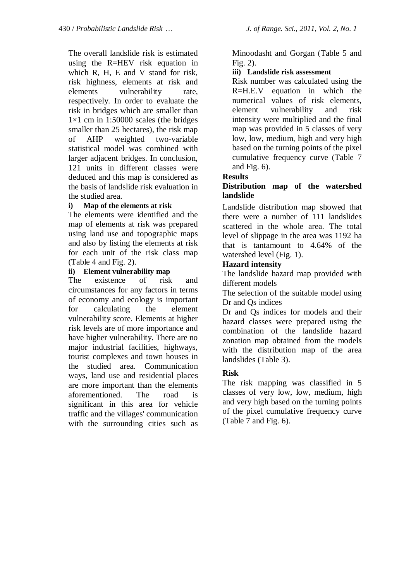The overall landslide risk is estimated using the R=HEV risk equation in which R, H, E and V stand for risk, risk highness, elements at risk and elements vulnerability rate, respectively. In order to evaluate the risk in bridges which are smaller than  $1\times1$  cm in 1:50000 scales (the bridges smaller than 25 hectares), the risk map of AHP weighted two-variable statistical model was combined with larger adjacent bridges. In conclusion, 121 units in different classes were deduced and this map is considered as the basis of landslide risk evaluation in the studied area.

## **i) Map of the elements at risk**

The elements were identified and the map of elements at risk was prepared using land use and topographic maps and also by listing the elements at risk for each unit of the risk class map (Table 4 and Fig. 2).

#### **ii) Element vulnerability map**

The existence of risk and circumstances for any factors in terms of economy and ecology is important for calculating the element vulnerability score. Elements at higher risk levels are of more importance and have higher vulnerability. There are no major industrial facilities, highways, tourist complexes and town houses in the studied area. Communication ways, land use and residential places are more important than the elements aforementioned. The road is significant in this area for vehicle traffic and the villages' communication with the surrounding cities such as

Minoodasht and Gorgan (Table 5 and Fig. 2).

## **iii) Landslide risk assessment**

Risk number was calculated using the R=H.E.V equation in which the numerical values of risk elements, element vulnerability and risk intensity were multiplied and the final map was provided in 5 classes of very low, low, medium, high and very high based on the turning points of the pixel cumulative frequency curve (Table 7 and Fig. 6).

## **Results**

# **Distribution map of the watershed landslide**

Landslide distribution map showed that there were a number of 111 landslides scattered in the whole area. The total level of slippage in the area was 1192 ha that is tantamount to 4.64% of the watershed level (Fig. 1).

## **Hazard intensity**

The landslide hazard map provided with different models

The selection of the suitable model using Dr and Qs indices

Dr and Qs indices for models and their hazard classes were prepared using the combination of the landslide hazard zonation map obtained from the models with the distribution map of the area landslides (Table 3).

## **Risk**

The risk mapping was classified in 5 classes of very low, low, medium, high and very high based on the turning points of the pixel cumulative frequency curve (Table 7 and Fig. 6).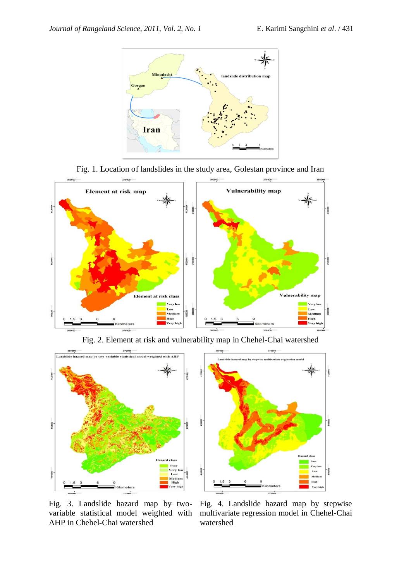

Fig. 1. Location of landslides in the study area, Golestan province and Iran



Fig. 2. Element at risk and vulnerability map in Chehel-Chai watershed



Fig. 3. Landslide hazard map by two-AHP in Chehel-Chai watershed

variable statistical model weighted with multivariate regression model in Chehel-Chai Fig. 4. Landslide hazard map by stepwise watershed

**ROOM** 

.<br>High .<br>Very hi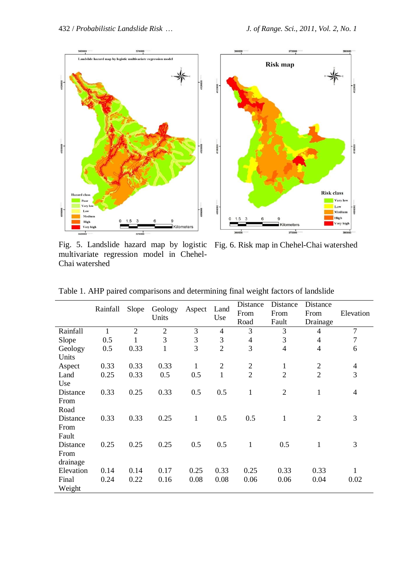

Fig. 5. Landslide hazard map by logistic Fig. 6. Risk map in Chehel-Chai watershed multivariate regression model in Chehel-Chai watershed

|                              | Rainfall | Slope          | Geology<br>Units | Aspect         | Land<br>Use    | Distance<br>From<br>Road | Distance<br>From<br>Fault | Distance<br>From<br>Drainage | Elevation                |
|------------------------------|----------|----------------|------------------|----------------|----------------|--------------------------|---------------------------|------------------------------|--------------------------|
| Rainfall                     | 1        | $\overline{2}$ | $\sqrt{2}$       | 3              | $\overline{4}$ | 3                        | 3                         | 4                            | $\overline{7}$           |
| Slope                        | 0.5      | 1              | 3                | $\mathfrak{Z}$ | 3              | $\overline{\mathcal{A}}$ | 3                         | $\overline{4}$               | $\overline{7}$           |
| Geology<br>Units             | 0.5      | 0.33           | 1                | 3              | $\overline{2}$ | 3                        | $\overline{4}$            | $\overline{4}$               | 6                        |
| Aspect                       | 0.33     | 0.33           | 0.33             | 1              | $\mathbf{2}$   | $\overline{c}$           | $\mathbf{1}$              | $\overline{c}$               | $\overline{\mathcal{A}}$ |
| Land<br>Use                  | 0.25     | 0.33           | 0.5              | 0.5            | $\mathbf{1}$   | $\overline{2}$           | $\overline{2}$            | $\overline{2}$               | 3                        |
| Distance<br>From<br>Road     | 0.33     | 0.25           | 0.33             | 0.5            | 0.5            | $\mathbf{1}$             | $\overline{2}$            | $\mathbf{1}$                 | $\overline{4}$           |
| Distance<br>From<br>Fault    | 0.33     | 0.33           | 0.25             | 1              | 0.5            | 0.5                      | 1                         | $\mathfrak{2}$               | 3                        |
| Distance<br>From<br>drainage | 0.25     | 0.25           | 0.25             | 0.5            | 0.5            | 1                        | 0.5                       | 1                            | 3                        |
| Elevation                    | 0.14     | 0.14           | 0.17             | 0.25           | 0.33           | 0.25                     | 0.33                      | 0.33                         | 1                        |
| Final<br>Weight              | 0.24     | 0.22           | 0.16             | 0.08           | 0.08           | 0.06                     | 0.06                      | 0.04                         | 0.02                     |

Table 1. AHP paired comparisons and determining final weight factors of landslide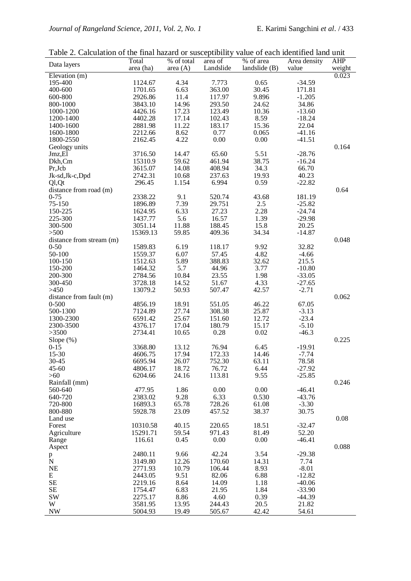Table 2. Calculation of the final hazard or susceptibility value of each identified land unit

| Data layers              | Total              | % of total     | area of          | % of area       | Area density     | <b>AHP</b>      |
|--------------------------|--------------------|----------------|------------------|-----------------|------------------|-----------------|
| Elevation $(m)$          | area (ha)          | area (A)       | Landslide        | landslide $(B)$ | value            | weight<br>0.023 |
| 195-400                  | 1124.67            | 4.34           | 7.773            | 0.65            | $-34.59$         |                 |
| 400-600                  | 1701.65            | 6.63           | 363.00           | 30.45           | 171.81           |                 |
| 600-800                  | 2926.86            | 11.4           | 117.97           | 9.896           | $-1.205$         |                 |
| 800-1000                 | 3843.10            | 14.96          | 293.50           | 24.62           | 34.86            |                 |
| 1000-1200                | 4426.16            | 17.23          | 123.49           | 10.36           | $-13.60$         |                 |
| 1200-1400                | 4402.28            | 17.14          | 102.43           | 8.59            | $-18.24$         |                 |
| 1400-1600                | 2881.98            | 11.22          | 183.17           | 15.36           | 22.04            |                 |
| 1600-1800                | 2212.66            | 8.62           | 0.77             | 0.065           | $-41.16$         |                 |
| 1800-2550                | 2162.45            | 4.22           | 0.00             | 0.00            | $-41.51$         |                 |
| Geology units            |                    |                |                  |                 |                  | 0.164           |
| Jmz,El                   | 3716.50            | 14.47          | 65.60            | 5.51            | $-28.76$         |                 |
| Dkh,Cm                   | 15310.9            | 59.62          | 461.94           | 38.75           | $-16.24$         |                 |
| Pr, Jcb                  | 3615.07            | 14.08          | 408.94           | 34.3            | 66.70            |                 |
| Jk-sd, Jk-c, Dpd         | 2742.31            | 10.68          | 237.63           | 19.93           | 40.23            |                 |
| Ql, Qt                   | 296.45             | 1.154          | 6.994            | 0.59            | $-22.82$         |                 |
| distance from road (m)   |                    |                |                  |                 |                  | 0.64            |
| $0 - 75$                 | 2338.22            | 9.1            | 520.74           | 43.68           | 181.19           |                 |
| 75-150                   | 1896.89            | 7.39           | 29.751           | 2.5             | $-25.82$         |                 |
| 150-225                  | 1624.95            | 6.33           | 27.23            | 2.28            | $-24.74$         |                 |
| 225-300                  | 1437.77            | 5.6            | 16.57            | 1.39            | $-29.98$         |                 |
| 300-500                  | 3051.14            | 11.88          | 188.45           | 15.8            | 20.25            |                 |
| >500                     | 15369.13           | 59.85          | 409.36           | 34.34           | $-14.87$         |                 |
| distance from stream (m) |                    |                |                  |                 |                  | 0.048           |
| $0 - 50$                 | 1589.83            | 6.19           | 118.17           | 9.92            | 32.82            |                 |
| 50-100                   | 1559.37            | 6.07           | 57.45            | 4.82            | $-4.66$          |                 |
| 100-150                  | 1512.63            | 5.89           | 388.83           | 32.62           | 215.5            |                 |
| 150-200                  | 1464.32            | 5.7            | 44.96            | 3.77            | $-10.80$         |                 |
| 200-300                  | 2784.56            | 10.84          | 23.55            | 1.98            | $-33.05$         |                 |
| 300-450                  | 3728.18            | 14.52          | 51.67            | 4.33            | $-27.65$         |                 |
| >450                     | 13079.2            | 50.93          | 507.47           | 42.57           | $-2.71$          |                 |
| distance from fault (m)  |                    |                |                  |                 |                  | 0.062           |
| $0 - 500$                | 4856.19            | 18.91<br>27.74 | 551.05<br>308.38 | 46.22<br>25.87  | 67.05<br>$-3.13$ |                 |
| 500-1300                 | 7124.89            | 25.67          |                  | 12.72           | $-23.4$          |                 |
| 1300-2300<br>2300-3500   | 6591.42<br>4376.17 | 17.04          | 151.60<br>180.79 | 15.17           | $-5.10$          |                 |
| >3500                    | 2734.41            | 10.65          | 0.28             | 0.02            | $-46.3$          |                 |
| Slope $(\%)$             |                    |                |                  |                 |                  | 0.225           |
| $0-15$                   | 3368.80            | 13.12          | 76.94            | 6.45            | $-19.91$         |                 |
| 15-30                    | 4606.75            | 17.94          | 172.33           | 14.46           | $-7.74$          |                 |
| 30-45                    | 6695.94            | 26.07          | 752.30           | 63.11           | 78.58            |                 |
| $45 - 60$                | 4806.17            | 18.72          | 76.72            | 6.44            | $-27.92$         |                 |
| >60                      | 6204.66            | 24.16          | 113.81           | 9.55            | $-25.85$         |                 |
| Rainfall (mm)            |                    |                |                  |                 |                  | 0.246           |
| 560-640                  | 477.95             | 1.86           | 0.00             | 0.00            | $-46.41$         |                 |
| 640-720                  | 2383.02            | 9.28           | 6.33             | 0.530           | $-43.76$         |                 |
| 720-800                  | 16893.3            | 65.78          | 728.26           | 61.08           | $-3.30$          |                 |
| 800-880                  | 5928.78            | 23.09          | 457.52           | 38.37           | 30.75            |                 |
| Land use                 |                    |                |                  |                 |                  | 0.08            |
| Forest                   | 10310.58           | 40.15          | 220.65           | 18.51           | $-32.47$         |                 |
| Agriculture              | 15291.71           | 59.54          | 971.43           | 81.49           | 52.20            |                 |
| Range                    | 116.61             | 0.45           | 0.00             | 0.00            | $-46.41$         |                 |
| Aspect                   |                    |                |                  |                 |                  | 0.088           |
| p<br>N                   | 2480.11            | 9.66           | 42.24            | 3.54            | $-29.38$         |                 |
|                          | 3149.80            | 12.26          | 170.60           | 14.31           | 7.74             |                 |
| NE                       | 2771.93            | 10.79          | 106.44           | 8.93            | $-8.01$          |                 |
| E                        | 2443.05            | 9.51           | 82.06            | 6.88            | $-12.82$         |                 |
| $\rm SE$                 | 2219.16            | 8.64           | 14.09            | 1.18            | $-40.06$         |                 |
| <b>SE</b>                | 1754.47            | 6.83           | 21.95            | 1.84            | $-33.90$         |                 |
| SW                       | 2275.17            | 8.86           | 4.60             | 0.39            | $-44.39$         |                 |
| W                        | 3581.95            | 13.95          | 244.43           | 20.5            | 21.82            |                 |
| <b>NW</b>                | 5004.93            | 19.49          | 505.67           | 42.42           | 54.61            |                 |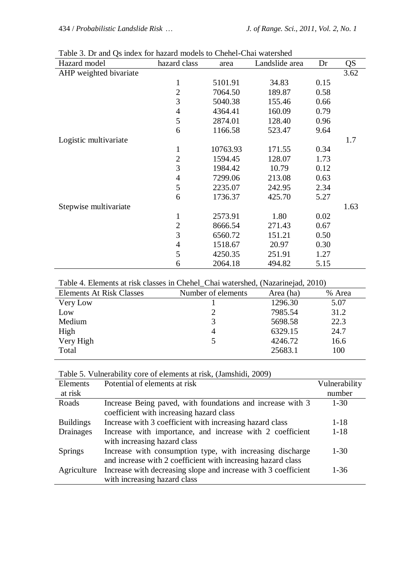| Hazard model           | hazard class             | area     | Landslide area | Dr   | QS   |
|------------------------|--------------------------|----------|----------------|------|------|
| AHP weighted bivariate |                          |          |                |      | 3.62 |
|                        | 1                        | 5101.91  | 34.83          | 0.15 |      |
|                        | $\overline{2}$           | 7064.50  | 189.87         | 0.58 |      |
|                        | 3                        | 5040.38  | 155.46         | 0.66 |      |
|                        | $\overline{4}$           | 4364.41  | 160.09         | 0.79 |      |
|                        | 5                        | 2874.01  | 128.40         | 0.96 |      |
|                        | 6                        | 1166.58  | 523.47         | 9.64 |      |
| Logistic multivariate  |                          |          |                |      | 1.7  |
|                        | $\mathbf 1$              | 10763.93 | 171.55         | 0.34 |      |
|                        | $\overline{2}$           | 1594.45  | 128.07         | 1.73 |      |
|                        | 3                        | 1984.42  | 10.79          | 0.12 |      |
|                        | $\overline{4}$           | 7299.06  | 213.08         | 0.63 |      |
|                        | 5                        | 2235.07  | 242.95         | 2.34 |      |
|                        | 6                        | 1736.37  | 425.70         | 5.27 |      |
| Stepwise multivariate  |                          |          |                |      | 1.63 |
|                        | $\mathbf{1}$             | 2573.91  | 1.80           | 0.02 |      |
|                        | $\overline{2}$           | 8666.54  | 271.43         | 0.67 |      |
|                        | 3                        | 6560.72  | 151.21         | 0.50 |      |
|                        | $\overline{\mathcal{A}}$ | 1518.67  | 20.97          | 0.30 |      |
|                        | 5                        | 4250.35  | 251.91         | 1.27 |      |
|                        | 6                        | 2064.18  | 494.82         | 5.15 |      |

Table 3. Dr and Qs index for hazard models to Chehel-Chai watershed

#### Table 4. Elements at risk classes in Chehel\_Chai watershed, (Nazarinejad, 2010)

| <b>Elements At Risk Classes</b> | Number of elements | Area (ha) | % Area |
|---------------------------------|--------------------|-----------|--------|
| Very Low                        |                    | 1296.30   | 5.07   |
| Low                             |                    | 7985.54   | 31.2   |
| Medium                          | 3                  | 5698.58   | 22.3   |
| High                            | 4                  | 6329.15   | 24.7   |
| Very High                       | 5                  | 4246.72   | 16.6   |
| Total                           |                    | 25683.1   | 100    |
|                                 |                    |           |        |

Table 5. Vulnerability core of elements at risk, (Jamshidi, 2009)

| Elements         | Potential of elements at risk                                  | Vulnerability |
|------------------|----------------------------------------------------------------|---------------|
| at risk          |                                                                | number        |
| Roads            | Increase Being paved, with foundations and increase with 3     | $1 - 30$      |
|                  | coefficient with increasing hazard class                       |               |
| <b>Buildings</b> | Increase with 3 coefficient with increasing hazard class       | $1 - 18$      |
| Drainages        | Increase with importance, and increase with 2 coefficient      | $1 - 18$      |
|                  | with increasing hazard class                                   |               |
| <b>Springs</b>   | Increase with consumption type, with increasing discharge      | $1 - 30$      |
|                  | and increase with 2 coefficient with increasing hazard class   |               |
| Agriculture      | Increase with decreasing slope and increase with 3 coefficient | $1 - 36$      |
|                  | with increasing hazard class                                   |               |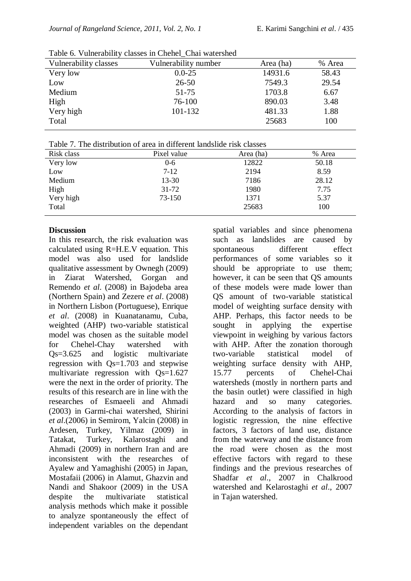| Vulnerability classes | Vulnerability number | Area (ha) | % Area |
|-----------------------|----------------------|-----------|--------|
| Very low              | $0.0 - 25$           | 14931.6   | 58.43  |
| Low                   | $26 - 50$            | 7549.3    | 29.54  |
| Medium                | 51-75                | 1703.8    | 6.67   |
| High                  | 76-100               | 890.03    | 3.48   |
| Very high             | 101-132              | 481.33    | 1.88   |
| Total                 |                      | 25683     | 100    |

Table 7. The distribution of area in different landslide risk classes

| Risk class | Pixel value | Area (ha) | % Area |
|------------|-------------|-----------|--------|
| Very low   | $0 - 6$     | 12822     | 50.18  |
| Low        | $7 - 12$    | 2194      | 8.59   |
| Medium     | $13 - 30$   | 7186      | 28.12  |
| High       | $31 - 72$   | 1980      | 7.75   |
| Very high  | 73-150      | 1371      | 5.37   |
| Total      |             | 25683     | 100    |

#### **Discussion**

In this research, the risk evaluation was calculated using R=H.E.V equation. This model was also used for landslide qualitative assessment by Ownegh (2009) in Ziarat Watershed, Gorgan and Remendo *et al*. (2008) in Bajodeba area (Northern Spain) and Zezere *et al*. (2008) in Northern Lisbon (Portuguese), Enrique *et al*. (2008) in Kuanatanamu, Cuba, weighted (AHP) two-variable statistical model was chosen as the suitable model for Chehel-Chay watershed with Qs=3.625 and logistic multivariate regression with Qs=1.703 and stepwise multivariate regression with Qs=1.627 were the next in the order of priority. The results of this research are in line with the researches of Esmaeeli and Ahmadi (2003) in Garmi-chai watershed, Shirini *et al*.(2006) in Semirom, Yalcin (2008) in Ardesen, Turkey, Yilmaz (2009) in Tatakat, Turkey, Kalarostaghi and Ahmadi (2009) in northern Iran and are inconsistent with the researches of Ayalew and Yamaghishi (2005) in Japan, Mostafaii (2006) in Alamut, Ghazvin and Nandi and Shakoor (2009) in the USA despite the multivariate statistical analysis methods which make it possible to analyze spontaneously the effect of independent variables on the dependant

spatial variables and since phenomena such as landslides are caused by spontaneous different effect performances of some variables so it should be appropriate to use them; however, it can be seen that QS amounts of these models were made lower than QS amount of two-variable statistical model of weighting surface density with AHP. Perhaps, this factor needs to be sought in applying the expertise viewpoint in weighing by various factors with AHP. After the zonation thorough two-variable statistical model of weighting surface density with AHP, 15.77 percents of Chehel-Chai watersheds (mostly in northern parts and the basin outlet) were classified in high hazard and so many categories. According to the analysis of factors in logistic regression, the nine effective factors, 3 factors of land use, distance from the waterway and the distance from the road were chosen as the most effective factors with regard to these findings and the previous researches of Shadfar *et al*., 2007 in Chalkrood watershed and Kelarostaghi *et al*., 2007 in Tajan watershed.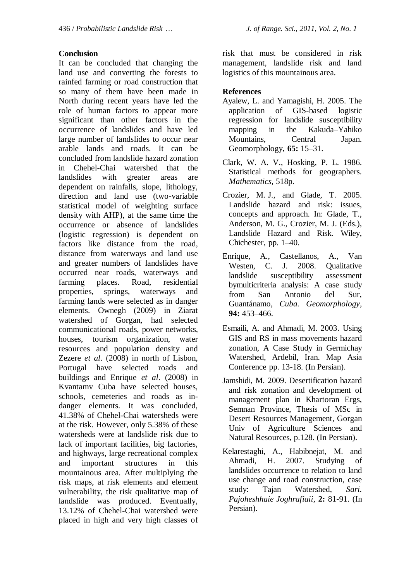#### **Conclusion**

It can be concluded that changing the land use and converting the forests to rainfed farming or road construction that so many of them have been made in North during recent years have led the role of human factors to appear more significant than other factors in the occurrence of landslides and have led large number of landslides to occur near arable lands and roads. It can be concluded from landslide hazard zonation in Chehel-Chai watershed that the landslides with greater areas are dependent on rainfalls, slope, lithology, direction and land use (two-variable statistical model of weighting surface density with AHP), at the same time the occurrence or absence of landslides (logistic regression) is dependent on factors like distance from the road, distance from waterways and land use and greater numbers of landslides have occurred near roads, waterways and farming places. Road, residential properties, springs, waterways and farming lands were selected as in danger elements. Ownegh (2009) in Ziarat watershed of Gorgan, had selected communicational roads, power networks, houses, tourism organization, water resources and population density and Zezere *et al*. (2008) in north of Lisbon, Portugal have selected roads and buildings and Enrique *et al*. (2008) in Kvantamv Cuba have selected houses, schools, cemeteries and roads as indanger elements. It was concluded, 41.38% of Chehel-Chai watersheds were at the risk. However, only 5.38% of these watersheds were at landslide risk due to lack of important facilities, big factories, and highways, large recreational complex and important structures in this mountainous area. After multiplying the risk maps, at risk elements and element vulnerability, the risk qualitative map of landslide was produced. Eventually, 13.12% of Chehel-Chai watershed were placed in high and very high classes of

risk that must be considered in risk management, landslide risk and land logistics of this mountainous area.

#### **References**

- Ayalew, L. and Yamagishi, H. 2005. The application of GIS-based logistic regression for landslide susceptibility mapping in the Kakuda–Yahiko Mountains, Central Japan. Geomorphology, **65:** 15–31.
- Clark, W. A. V., Hosking, P. L. 1986. Statistical methods for geographers. *Mathematics,* 518p.
- Crozier, M. J., and Glade, T. 2005. Landslide hazard and risk: issues, concepts and approach. In: Glade, T., Anderson, M. G., Crozier, M. J. (Eds.), Landslide Hazard and Risk. Wiley, Chichester, pp. 1–40.
- Enrique, A., Castellanos, A., Van Westen, C. J. 2008. Qualitative landslide susceptibility assessment bymulticriteria analysis: A case study from San Antonio del Sur, Guantánamo, *Cuba. Geomorphology,* **94:** 453–466.
- Esmaili, A. and Ahmadi, M. 2003. Using GIS and RS in mass movements hazard zonation, A Case Study in Germichay Watershed, Ardebil, Iran. Map Asia Conference pp. 13-18. (In Persian).
- Jamshidi, M. 2009. Desertification hazard and risk zonation and development of management plan in Khartoran Ergs, Semnan Province, Thesis of MSc in Desert Resources Management, Gorgan Univ of Agriculture Sciences and Natural Resources, p.128. (In Persian).
- Kelarestaghi, A., Habibnejat, M. and Ahmadi, H. 2007. Studying of landslides occurrence to relation to land use change and road construction, case study: Tajan Watershed, *Sari. Pajoheshhaie Joghrafiaii*, **2:** 81-91. (In Persian).